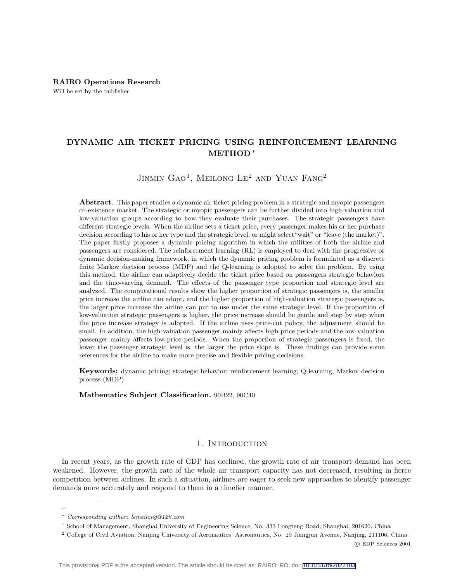# DYNAMIC AIR TICKET PRICING USING REINFORCEMENT LEARNING METHOD <sup>∗</sup>

JINMIN  $GAO<sup>1</sup>$ , Meilong Le<sup>2</sup> and Yuan Fang<sup>2</sup>

Abstract. This paper studies a dynamic air ticket pricing problem in a strategic and myopic passengers co-existence market. The strategic or myopic passengers can be further divided into high-valuation and low-valuation groups according to how they evaluate their purchases. The strategic passengers have different strategic levels. When the airline sets a ticket price, every passenger makes his or her purchase decision according to his or her type and the strategic level, or might select"wait" or "leave (the market)". The paper firstly proposes a dynamic pricing algorithm in which the utilities of both the airline and passengers are considered. The reinforcement learning (RL) is employed to deal with the progressive or dynamic decision-making framework, in which the dynamic pricing problem is formulated as a discrete finite Markov decision process (MDP) and the Q-learning is adopted to solve the problem. By using this method, the airline can adaptively decide the ticket price based on passengers strategic behaviors and the time-varying demand. The effects of the passenger type proportion and strategic level are analyzed. The computational results show the higher proportion of strategic passengers is, the smaller price increase the airline can adopt, and the higher proportion of high-valuation strategic passengers is, the larger price increase the airline can put to use under the same strategic level. If the proportion of low-valuation strategic passengers is higher, the price increase should be gentle and step by step when the price increase strategy is adopted. If the airline uses price-cut policy, the adjustment should be small. In addition, the high-valuation passenger mainly affects high-price periods and the low-valuation passenger mainly affects low-price periods. When the proportion of strategic passengers is fixed, the lower the passenger strategic level is, the larger the price slope is. These findings can provide some references for the airline to make more precise and flexible pricing decisions.

Keywords: dynamic pricing; strategic behavior; reinforcement learning; Q-learning; Markov decision process (MDP)

Mathematics Subject Classification. 90B22, 90C40

# 1. INTRODUCTION

In recent years, as the growth rate of GDP has declined, the growth rate of air transport demand has been weakened. However, the growth rate of the whole air transport capacity has not decreased, resulting in fierce competition between airlines. In such a situation, airlines are eager to seek new approaches to identify passenger demands more accurately and respond to them in a timelier manner.

...

c EDP Sciences 2001

<sup>∗</sup> Corresponding author: lemeilong@126.com

<sup>1</sup> School of Management, Shanghai University of Engineering Science, No. 333 Longteng Road, Shanghai, 201620, China

<sup>2</sup> College of Civil Aviation, Nanjing University of Aeronautics Astronautics, No. 29 Jiangjun Avenue, Nanjing, 211106, China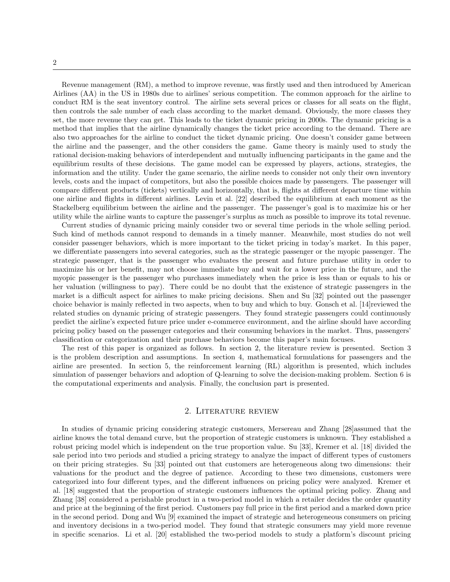Revenue management (RM), a method to improve revenue, was firstly used and then introduced by American Airlines (AA) in the US in 1980s due to airlines' serious competition. The common approach for the airline to conduct RM is the seat inventory control. The airline sets several prices or classes for all seats on the flight, then controls the sale number of each class according to the market demand. Obviously, the more classes they set, the more revenue they can get. This leads to the ticket dynamic pricing in 2000s. The dynamic pricing is a method that implies that the airline dynamically changes the ticket price according to the demand. There are also two approaches for the airline to conduct the ticket dynamic pricing. One doesn't consider game between the airline and the passenger, and the other considers the game. Game theory is mainly used to study the rational decision-making behaviors of interdependent and mutually influencing participants in the game and the equilibrium results of these decisions. The game model can be expressed by players, actions, strategies, the information and the utility. Under the game scenario, the airline needs to consider not only their own inventory levels, costs and the impact of competitors, but also the possible choices made by passengers. The passenger will compare different products (tickets) vertically and horizontally, that is, flights at different departure time within one airline and flights in different airlines. Levin et al. [22] described the equilibrium at each moment as the Stackelberg equilibrium between the airline and the passenger. The passenger's goal is to maximize his or her utility while the airline wants to capture the passenger's surplus as much as possible to improve its total revenue.

Current studies of dynamic pricing mainly consider two or several time periods in the whole selling period. Such kind of methods cannot respond to demands in a timely manner. Meanwhile, most studies do not well consider passenger behaviors, which is more important to the ticket pricing in today's market. In this paper, we differentiate passengers into several categories, such as the strategic passenger or the myopic passenger. The strategic passenger, that is the passenger who evaluates the present and future purchase utility in order to maximize his or her benefit, may not choose immediate buy and wait for a lower price in the future, and the myopic passenger is the passenger who purchases immediately when the price is less than or equals to his or her valuation (willingness to pay). There could be no doubt that the existence of strategic passengers in the market is a difficult aspect for airlines to make pricing decisions. Shen and Su [32] pointed out the passenger choice behavior is mainly reflected in two aspects, when to buy and which to buy. Gonsch et al. [14]reviewed the related studies on dynamic pricing of strategic passengers. They found strategic passengers could continuously predict the airline's expected future price under e-commerce environment, and the airline should have according pricing policy based on the passenger categories and their consuming behaviors in the market. Thus, passengers' classification or categorization and their purchase behaviors become this paper's main focuses.

The rest of this paper is organized as follows. In section 2, the literature review is presented. Section 3 is the problem description and assumptions. In section 4, mathematical formulations for passengers and the airline are presented. In section 5, the reinforcement learning (RL) algorithm is presented, which includes simulation of passenger behaviors and adoption of Q-learning to solve the decision-making problem. Section 6 is the computational experiments and analysis. Finally, the conclusion part is presented.

### 2. Literature review

In studies of dynamic pricing considering strategic customers, Mersereau and Zhang [28]assumed that the airline knows the total demand curve, but the proportion of strategic customers is unknown. They established a robust pricing model which is independent on the true proportion value. Su [33], Kremer et al. [18] divided the sale period into two periods and studied a pricing strategy to analyze the impact of different types of customers on their pricing strategies. Su [33] pointed out that customers are heterogeneous along two dimensions: their valuations for the product and the degree of patience. According to these two dimensions, customers were categorized into four different types, and the different influences on pricing policy were analyzed. Kremer et al. [18] suggested that the proportion of strategic customers influences the optimal pricing policy. Zhang and Zhang [38] considered a perishable product in a two-period model in which a retailer decides the order quantity and price at the beginning of the first period. Customers pay full price in the first period and a marked down price in the second period. Dong and Wu [9] examined the impact of strategic and heterogeneous consumers on pricing and inventory decisions in a two-period model. They found that strategic consumers may yield more revenue in specific scenarios. Li et al. [20] established the two-period models to study a platform's discount pricing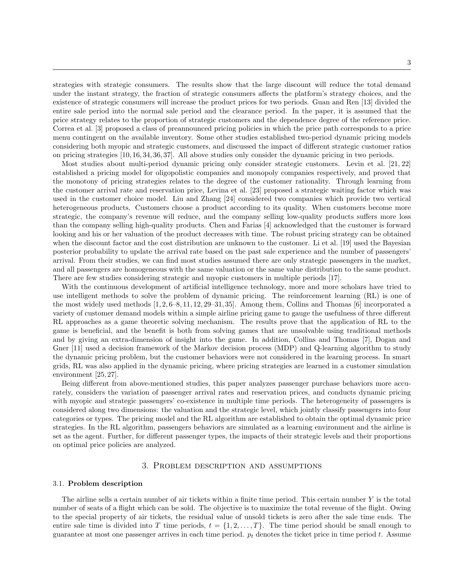strategies with strategic consumers. The results show that the large discount will reduce the total demand under the instant strategy, the fraction of strategic consumers affects the platform's strategy choices, and the existence of strategic consumers will increase the product prices for two periods. Guan and Ren [13] divided the entire sale period into the normal sale period and the clearance period. In the paper, it is assumed that the price strategy relates to the proportion of strategic customers and the dependence degree of the reference price. Correa et al. [3] proposed a class of preannounced pricing policies in which the price path corresponds to a price menu contingent on the available inventory. Some other studies established two-period dynamic pricing models considering both myopic and strategic customers, and discussed the impact of different strategic customer ratios on pricing strategies [10, 16, 34, 36, 37]. All above studies only consider the dynamic pricing in two periods.

Most studies about multi-period dynamic pricing only consider strategic customers. Levin et al. [21, 22] established a pricing model for oligopolistic companies and monopoly companies respectively, and proved that the monotony of pricing strategies relates to the degree of the customer rationality. Through learning from the customer arrival rate and reservation price, Levina et al. [23] proposed a strategic waiting factor which was used in the customer choice model. Liu and Zhang [24] considered two companies which provide two vertical heterogeneous products. Customers choose a product according to its quality. When customers become more strategic, the company's revenue will reduce, and the company selling low-quality products suffers more loss than the company selling high-quality products. Chen and Farias [4] acknowledged that the customer is forward looking and his or her valuation of the product decreases with time. The robust pricing strategy can be obtained when the discount factor and the cost distribution are unknown to the customer. Li et al. [19] used the Bayesian posterior probability to update the arrival rate based on the past sale experience and the number of passengers' arrival. From their studies, we can find most studies assumed there are only strategic passengers in the market, and all passengers are homogeneous with the same valuation or the same value distribution to the same product. There are few studies considering strategic and myopic customers in multiple periods [17].

With the continuous development of artificial intelligence technology, more and more scholars have tried to use intelligent methods to solve the problem of dynamic pricing. The reinforcement learning (RL) is one of the most widely used methods [1, 2, 6–8, 11, 12, 29–31, 35]. Among them, Collins and Thomas [6] incorporated a variety of customer demand models within a simple airline pricing game to gauge the usefulness of three different RL approaches as a game theoretic solving mechanism. The results prove that the application of RL to the game is beneficial, and the benefit is both from solving games that are unsolvable using traditional methods and by giving an extra-dimension of insight into the game. In addition, Collins and Thomas [7], Dogan and Gner [11] used a decision framework of the Markov decision process (MDP) and Q-learning algorithm to study the dynamic pricing problem, but the customer behaviors were not considered in the learning process. In smart grids, RL was also applied in the dynamic pricing, where pricing strategies are learned in a customer simulation environment [25, 27].

Being different from above-mentioned studies, this paper analyzes passenger purchase behaviors more accurately, considers the variation of passenger arrival rates and reservation prices, and conducts dynamic pricing with myopic and strategic passengers' co-existence in multiple time periods. The heterogeneity of passengers is considered along two dimensions: the valuation and the strategic level, which jointly classify passengers into four categories or types. The pricing model and the RL algorithm are established to obtain the optimal dynamic price strategies. In the RL algorithm, passengers behaviors are simulated as a learning environment and the airline is set as the agent. Further, for different passenger types, the impacts of their strategic levels and their proportions on optimal price policies are analyzed.

#### 3. Problem description and assumptions

# 3.1. Problem description

The airline sells a certain number of air tickets within a finite time period. This certain number Y is the total number of seats of a flight which can be sold. The objective is to maximize the total revenue of the flight. Owing to the special property of air tickets, the residual value of unsold tickets is zero after the sale time ends. The entire sale time is divided into T time periods,  $t = \{1, 2, \ldots, T\}$ . The time period should be small enough to guarantee at most one passenger arrives in each time period.  $p_t$  denotes the ticket price in time period t. Assume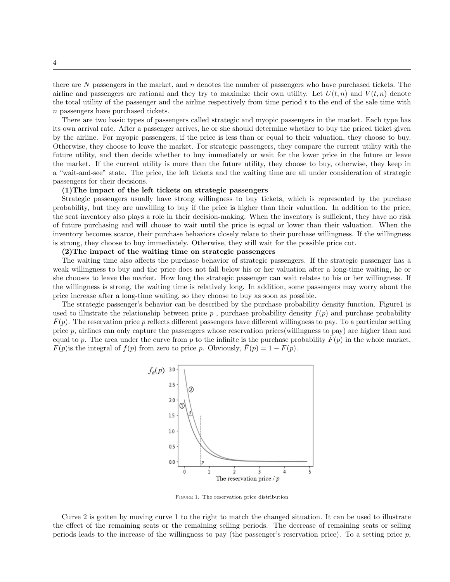there are  $N$  passengers in the market, and  $n$  denotes the number of passengers who have purchased tickets. The airline and passengers are rational and they try to maximize their own utility. Let  $U(t, n)$  and  $V(t, n)$  denote the total utility of the passenger and the airline respectively from time period  $t$  to the end of the sale time with n passengers have purchased tickets.

There are two basic types of passengers called strategic and myopic passengers in the market. Each type has its own arrival rate. After a passenger arrives, he or she should determine whether to buy the priced ticket given by the airline. For myopic passengers, if the price is less than or equal to their valuation, they choose to buy. Otherwise, they choose to leave the market. For strategic passengers, they compare the current utility with the future utility, and then decide whether to buy immediately or wait for the lower price in the future or leave the market. If the current utility is more than the future utility, they choose to buy, otherwise, they keep in a "wait-and-see" state. The price, the left tickets and the waiting time are all under consideration of strategic passengers for their decisions.

#### (1)The impact of the left tickets on strategic passengers

Strategic passengers usually have strong willingness to buy tickets, which is represented by the purchase probability, but they are unwilling to buy if the price is higher than their valuation. In addition to the price, the seat inventory also plays a role in their decision-making. When the inventory is sufficient, they have no risk of future purchasing and will choose to wait until the price is equal or lower than their valuation. When the inventory becomes scarce, their purchase behaviors closely relate to their purchase willingness. If the willingness is strong, they choose to buy immediately. Otherwise, they still wait for the possible price cut.

### (2)The impact of the waiting time on strategic passengers

The waiting time also affects the purchase behavior of strategic passengers. If the strategic passenger has a weak willingness to buy and the price does not fall below his or her valuation after a long-time waiting, he or she chooses to leave the market. How long the strategic passenger can wait relates to his or her willingness. If the willingness is strong, the waiting time is relatively long. In addition, some passengers may worry about the price increase after a long-time waiting, so they choose to buy as soon as possible.

The strategic passenger's behavior can be described by the purchase probability density function. Figure1 is used to illustrate the relationship between price  $p$ , purchase probability density  $f(p)$  and purchase probability  $F(p)$ . The reservation price p reflects different passengers have different willingness to pay. To a particular setting price p, airlines can only capture the passengers whose reservation prices(willingness to pay) are higher than and equal to p. The area under the curve from p to the infinite is the purchase probability  $\bar{F}(p)$  in the whole market,  $F(p)$  is the integral of  $f(p)$  from zero to price p. Obviously,  $\bar{F}(p) = 1 - F(p)$ .



Figure 1. The reservation price distribution

Curve 2 is gotten by moving curve 1 to the right to match the changed situation. It can be used to illustrate the effect of the remaining seats or the remaining selling periods. The decrease of remaining seats or selling periods leads to the increase of the willingness to pay (the passenger's reservation price). To a setting price  $p$ ,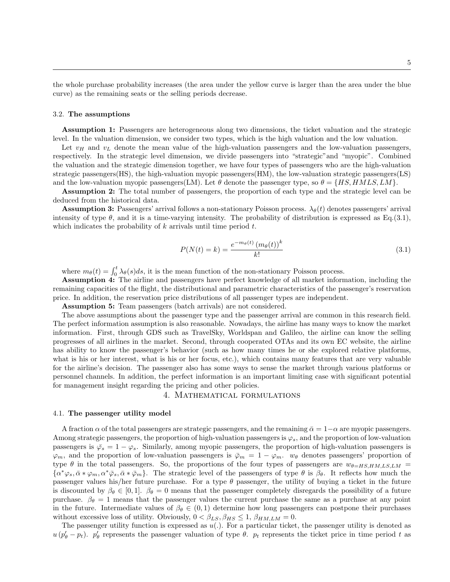the whole purchase probability increases (the area under the yellow curve is larger than the area under the blue curve) as the remaining seats or the selling periods decrease.

#### 3.2. The assumptions

Assumption 1: Passengers are heterogeneous along two dimensions, the ticket valuation and the strategic level. In the valuation dimension, we consider two types, which is the high valuation and the low valuation.

Let  $v_H$  and  $v_L$  denote the mean value of the high-valuation passengers and the low-valuation passengers, respectively. In the strategic level dimension, we divide passengers into "strategic"and "myopic". Combined the valuation and the strategic dimension together, we have four types of passengers who are the high-valuation strategic passengers(HS), the high-valuation myopic passengers(HM), the low-valuation strategic passengers(LS) and the low-valuation myopic passengers(LM). Let  $\theta$  denote the passenger type, so  $\theta = \{HS, HMLS, LM\}$ .

Assumption 2: The total number of passengers, the proportion of each type and the strategic level can be deduced from the historical data.

**Assumption 3:** Passengers' arrival follows a non-stationary Poisson process.  $\lambda_{\theta}(t)$  denotes passengers' arrival intensity of type  $\theta$ , and it is a time-varying intensity. The probability of distribution is expressed as Eq.(3.1), which indicates the probability of  $k$  arrivals until time period  $t$ .

$$
P(N(t) = k) = \frac{e^{-m_{\theta}(t)} (m_{\theta}(t))^k}{k!}
$$
\n(3.1)

where  $m_{\theta}(t) = \int_0^t \lambda_{\theta}(s)ds$ , it is the mean function of the non-stationary Poisson process.

Assumption 4: The airline and passengers have perfect knowledge of all market information, including the remaining capacities of the flight, the distributional and parametric characteristics of the passenger's reservation price. In addition, the reservation price distributions of all passenger types are independent.

Assumption 5: Team passengers (batch arrivals) are not considered.

The above assumptions about the passenger type and the passenger arrival are common in this research field. The perfect information assumption is also reasonable. Nowadays, the airline has many ways to know the market information. First, through GDS such as TravelSky, Worldspan and Galileo, the airline can know the selling progresses of all airlines in the market. Second, through cooperated OTAs and its own EC website, the airline has ability to know the passenger's behavior (such as how many times he or she explored relative platforms, what is his or her interest, what is his or her focus, etc.), which contains many features that are very valuable for the airline's decision. The passenger also has some ways to sense the market through various platforms or personnel channels. In addition, the perfect information is an important limiting case with significant potential for management insight regarding the pricing and other policies.

# 4. Mathematical formulations

#### 4.1. The passenger utility model

A fraction  $\alpha$  of the total passengers are strategic passengers, and the remaining  $\bar{\alpha} = 1-\alpha$  are myopic passengers. Among strategic passengers, the proportion of high-valuation passengers is  $\varphi_s$ , and the proportion of low-valuation passengers is  $\bar{\varphi}_s = 1 - \varphi_s$ . Similarly, among myopic passengers, the proportion of high-valuation passengers is  $\varphi_m$ , and the proportion of low-valuation passengers is  $\bar{\varphi}_m = 1 - \varphi_m$ .  $w_\theta$  denotes passengers' proportion of type  $\theta$  in the total passengers. So, the proportions of the four types of passengers are  $w_{\theta=HS,HM,LS,LM}$  $\{\alpha^*\varphi_s, \bar{\alpha}*\varphi_m, \alpha^*\bar{\varphi}_s, \bar{\alpha}*\bar{\varphi}_m\}.$  The strategic level of the passengers of type  $\theta$  is  $\beta_{\theta}$ . It reflects how much the passenger values his/her future purchase. For a type  $\theta$  passenger, the utility of buying a ticket in the future is discounted by  $\beta_{\theta} \in [0, 1]$ .  $\beta_{\theta} = 0$  means that the passenger completely disregards the possibility of a future purchase.  $\beta_{\theta} = 1$  means that the passenger values the current purchase the same as a purchase at any point in the future. Intermediate values of  $\beta_{\theta} \in (0,1)$  determine how long passengers can postpone their purchases without excessive loss of utility. Obviously,  $0 < \beta_{LS}, \beta_{HS} \leq 1, \beta_{HM,LM} = 0$ .

The passenger utility function is expressed as  $u(.)$ . For a particular ticket, the passenger utility is denoted as  $u (p'_{\theta} - p_t)$ .  $p'_{\theta}$  represents the passenger valuation of type  $\theta$ .  $p_t$  represents the ticket price in time period t as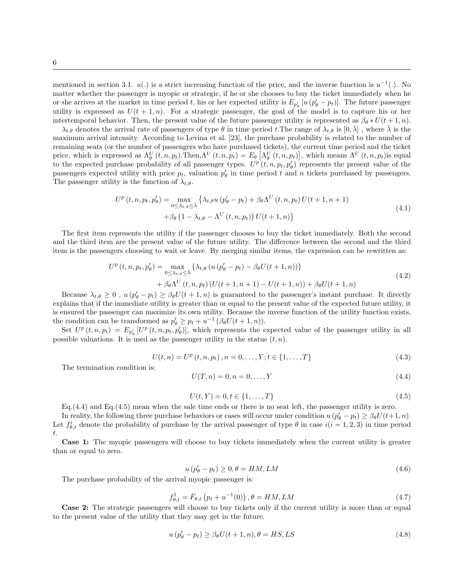mentioned in section 3.1.  $u(.)$  is a strict increasing function of the price, and the inverse function is  $u^{-1}(.)$ . No matter whether the passenger is myopic or strategic, if he or she chooses to buy the ticket immediately when he or she arrives at the market in time period t, his or her expected utility is  $E_{p'_\theta}[u(p'_\theta - p_t)]$ . The future passenger utility is expressed as  $U(t + 1, n)$ . For a strategic passenger, the goal of the model is to capture his or her intertemporal behavior. Then, the present value of the future passenger utility is represented as  $\beta_{\theta} * U(t+1, n)$ .

 $\lambda_{t,\theta}$  denotes the arrival rate of passengers of type  $\theta$  in time period t. The range of  $\lambda_{t,\theta}$  is  $[0,\lambda]$ , where  $\lambda$  is the maximum arrival intensity. According to Levina et al. [23], the purchase probability is related to the number of remaining seats (or the number of passengers who have purchased tickets), the current time period and the ticket price, which is expressed as  $\Lambda_{\theta}^{U}(t,n,p_t)$ . Then, $\Lambda^{U}(t,n,p_t) = E_{\theta} \left[ \Lambda_{\theta}^{U}(t,n,p_t) \right]$ , which means  $\Lambda^{U}(t,n,p_t)$  is equal to the expected purchase probability of all passenger types.  $U^p(t, n, p_t, p'_\theta)$  represents the present value of the passengers expected utility with price  $p_t$ , valuation  $p'_\theta$  in time period t and n tickets purchased by passengers. The passenger utility is the function of  $\lambda_{t,\theta}$ .

$$
U^{p}(t, n, p_t, p'_{\theta}) = \max_{0 \leq \lambda_{t, \theta} \leq \bar{\lambda}} \left\{ \lambda_{t, \theta} u (p'_{\theta} - p_t) + \beta_{\theta} \Lambda^{U}(t, n, p_t) U(t+1, n+1) + \beta_{\theta} \left( 1 - \lambda_{t, \theta} - \Lambda^{U}(t, n, p_t) \right) U(t+1, n) \right\}
$$
\n
$$
(4.1)
$$

The first item represents the utility if the passenger chooses to buy the ticket immediately. Both the second and the third item are the present value of the future utility. The difference between the second and the third item is the passengers choosing to wait or leave. By merging similar items, the expression can be rewritten as:

$$
U^{p}(t, n, p_{t}, p_{\theta}') = \max_{0 \leq \lambda_{t, \theta} \leq \bar{\lambda}} \left\{ \lambda_{t, \theta} \left( u \left( p_{\theta}' - p_{t} \right) - \beta_{\theta} U(t + 1, n) \right) \right\} + \beta_{\theta} \Lambda^{U}(t, n, p_{t}) \left( U(t + 1, n + 1) - U(t + 1, n) \right) + \beta_{\theta} U(t + 1, n)
$$
\n(4.2)

Because  $\lambda_{t,\theta} \geq 0$ ,  $u(p'_{\theta} - p_t) \geq \beta_{\theta} U(t+1,n)$  is guaranteed to the passenger's instant purchase. It directly explains that if the immediate utility is greater than or equal to the present value of the expected future utility, it is ensured the passenger can maximize its own utility. Because the inverse function of the utility function exists, the condition can be transformed as  $p'_{\theta} \ge p_t + u^{-1} (\beta_{\theta} U(t+1, n)).$ 

Set  $U^p(t,n,p_t) = E_{p'_\theta} [U^p(t,n,p_t,p'_\theta)],$  which represents the expected value of the passenger utility in all possible valuations. It is used as the passenger utility in the status  $(t, n)$ .

$$
U(t, n) = U^{p}(t, n, p_{t}), n = 0, \dots, Y; t \in \{1, \dots, T\}
$$
\n(4.3)

The termination condition is:

$$
U(T, n) = 0, n = 0, \dots, Y
$$
\n(4.4)

$$
U(t, Y) = 0, t \in \{1, \dots, T\}
$$
\n
$$
(4.5)
$$

Eq.(4.4) and Eq.(4.5) mean when the sale time ends or there is no seat left, the passenger utility is zero.

In reality, the following three purchase behaviors or cases will occur under condition  $u(p'_\theta - p_t) \ge \beta_\theta U(t+1, n)$ . Let  $f_{\theta,t}^i$  denote the probability of purchase by the arrival passenger of type  $\theta$  in case  $i(i = 1, 2, 3)$  in time period t.

Case 1: The myopic passengers will choose to buy tickets immediately when the current utility is greater than or equal to zero.

$$
u\left(p'_{\theta} - p_t\right) \ge 0, \theta = HM, LM\tag{4.6}
$$

The purchase probability of the arrival myopic passenger is:

$$
f_{\theta,t}^1 = \bar{F}_{\theta,t} \left( p_t + u^{-1}(0) \right), \theta = HM, LM \tag{4.7}
$$

Case 2: The strategic passengers will choose to buy tickets only if the current utility is more than or equal to the present value of the utility that they may get in the future.

$$
u\left(p'_{\theta} - p_t\right) \ge \beta_{\theta} U(t+1, n), \theta = HS, LS \tag{4.8}
$$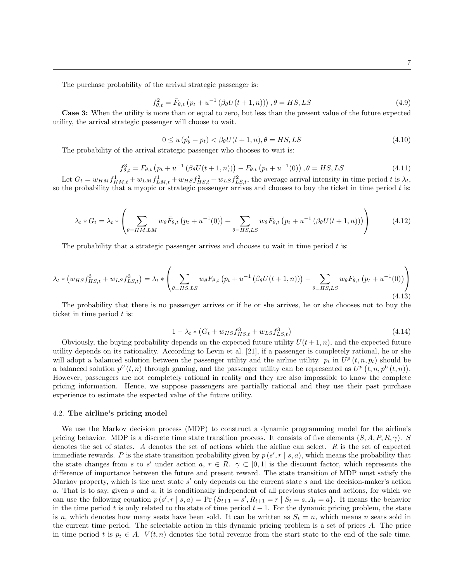The purchase probability of the arrival strategic passenger is:

$$
f_{\theta,t}^2 = \bar{F}_{\theta,t} \left( p_t + u^{-1} \left( \beta_\theta U(t+1,n) \right) \right), \theta = HS, LS \tag{4.9}
$$

Case 3: When the utility is more than or equal to zero, but less than the present value of the future expected utility, the arrival strategic passenger will choose to wait.

$$
0 \le u \left( p_{\theta}^{\prime} - p_t \right) < \beta_{\theta} U(t+1, n), \theta = HS, LS \tag{4.10}
$$

The probability of the arrival strategic passenger who chooses to wait is:

$$
f_{\theta,t}^3 = F_{\theta,t} \left( p_t + u^{-1} \left( \beta_\theta U(t+1,n) \right) \right) - F_{\theta,t} \left( p_t + u^{-1}(0) \right), \theta = HS, LS \tag{4.11}
$$

Let  $G_t = w_{HM} f_{HM,t}^1 + w_{LM} f_{LM,t}^1 + w_{HS} f_{HS,t}^2 + w_{LS} f_{LS,t}^2$ , the average arrival intensity in time period t is  $\lambda_t$ , so the probability that a myopic or strategic passenger arrives and chooses to buy the ticket in time period  $t$  is:

$$
\lambda_t * G_t = \lambda_t * \left( \sum_{\theta = HM, LM} w_{\theta} \bar{F}_{\theta, t} \left( p_t + u^{-1}(0) \right) + \sum_{\theta = HS, LS} w_{\theta} \bar{F}_{\theta, t} \left( p_t + u^{-1} \left( \beta_{\theta} U(t+1, n) \right) \right) \right) \tag{4.12}
$$

The probability that a strategic passenger arrives and chooses to wait in time period  $t$  is:

$$
\lambda_t * (w_{HS} f_{HS,t}^3 + w_{LS} f_{LS,t}^3) = \lambda_t * \left( \sum_{\theta = HS, LS} w_{\theta} F_{\theta, t} \left( p_t + u^{-1} \left( \beta_{\theta} U(t+1, n) \right) \right) - \sum_{\theta = HS, LS} w_{\theta} F_{\theta, t} \left( p_t + u^{-1}(0) \right) \right)
$$
\n(4.13)

The probability that there is no passenger arrives or if he or she arrives, he or she chooses not to buy the ticket in time period  $t$  is:

$$
1 - \lambda_t * (G_t + w_{HS} f_{HS,t}^3 + w_{LS} f_{LS,t}^3)
$$
\n(4.14)

Obviously, the buying probability depends on the expected future utility  $U(t + 1, n)$ , and the expected future utility depends on its rationality. According to Levin et al. [21], if a passenger is completely rational, he or she will adopt a balanced solution between the passenger utility and the airline utility.  $p_t$  in  $U^p(t, n, p_t)$  should be a balanced solution  $p^U(t, n)$  through gaming, and the passenger utility can be represented as  $U^p(t, n, p^U(t, n))$ . However, passengers are not completely rational in reality and they are also impossible to know the complete pricing information. Hence, we suppose passengers are partially rational and they use their past purchase experience to estimate the expected value of the future utility.

#### 4.2. The airline's pricing model

We use the Markov decision process (MDP) to construct a dynamic programming model for the airline's pricing behavior. MDP is a discrete time state transition process. It consists of five elements  $(S, A, P, R, \gamma)$ . S denotes the set of states. A denotes the set of actions which the airline can select. R is the set of expected immediate rewards. P is the state transition probability given by  $p(s', r | s, a)$ , which means the probability that the state changes from s to s' under action a,  $r \in R$ .  $\gamma \subset [0,1]$  is the discount factor, which represents the difference of importance between the future and present reward. The state transition of MDP must satisfy the Markov property, which is the next state  $s'$  only depends on the current state  $s$  and the decision-maker's action a. That is to say, given s and a, it is conditionally independent of all previous states and actions, for which we can use the following equation  $p(s', r | s, a) = Pr\{S_{t+1} = s', R_{t+1} = r | S_t = s, A_t = a\}$ . It means the behavior in the time period t is only related to the state of time period  $t - 1$ . For the dynamic pricing problem, the state is n, which denotes how many seats have been sold. It can be written as  $S_t = n$ , which means n seats sold in the current time period. The selectable action in this dynamic pricing problem is a set of prices A. The price in time period t is  $p_t \in A$ .  $V(t, n)$  denotes the total revenue from the start state to the end of the sale time.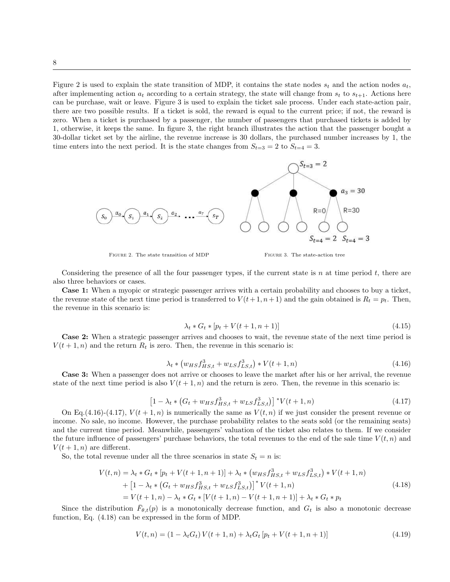Figure 2 is used to explain the state transition of MDP, it contains the state nodes  $s_t$  and the action nodes  $a_t$ , after implementing action  $a_t$  according to a certain strategy, the state will change from  $s_t$  to  $s_{t+1}$ . Actions here can be purchase, wait or leave. Figure 3 is used to explain the ticket sale process. Under each state-action pair, there are two possible results. If a ticket is sold, the reward is equal to the current price; if not, the reward is zero. When a ticket is purchased by a passenger, the number of passengers that purchased tickets is added by 1, otherwise, it keeps the same. In figure 3, the right branch illustrates the action that the passenger bought a 30-dollar ticket set by the airline, the revenue increase is 30 dollars, the purchased number increases by 1, the time enters into the next period. It is the state changes from  $S_{t=3} = 2$  to  $S_{t=4} = 3$ .



FIGURE 2. The state transition of MDP FIGURE 3. The state-action tree

Considering the presence of all the four passenger types, if the current state is n at time period  $t$ , there are also three behaviors or cases.

Case 1: When a myopic or strategic passenger arrives with a certain probability and chooses to buy a ticket, the revenue state of the next time period is transferred to  $V(t+1, n+1)$  and the gain obtained is  $R_t = p_t$ . Then, the revenue in this scenario is:

$$
\lambda_t * G_t * [p_t + V(t+1, n+1)] \tag{4.15}
$$

Case 2: When a strategic passenger arrives and chooses to wait, the revenue state of the next time period is  $V(t + 1, n)$  and the return  $R_t$  is zero. Then, the revenue in this scenario is:

$$
\lambda_t * (w_{HS} f_{HS,t}^3 + w_{LS} f_{LS,t}^3) * V(t+1,n)
$$
\n(4.16)

Case 3: When a passenger does not arrive or chooses to leave the market after his or her arrival, the revenue state of the next time period is also  $V(t + 1, n)$  and the return is zero. Then, the revenue in this scenario is:

$$
\left[1 - \lambda_t * (G_t + w_{HS} f_{HS,t}^3 + w_{LS} f_{LS,t}^3)\right] * V(t+1,n) \tag{4.17}
$$

On Eq.(4.16)-(4.17),  $V(t + 1, n)$  is numerically the same as  $V(t, n)$  if we just consider the present revenue or income. No sale, no income. However, the purchase probability relates to the seats sold (or the remaining seats) and the current time period. Meanwhile, passengers' valuation of the ticket also relates to them. If we consider the future influence of passengers' purchase behaviors, the total revenues to the end of the sale time  $V(t, n)$  and  $V(t+1, n)$  are different.

So, the total revenue under all the three scenarios in state  $S_t = n$  is:

$$
V(t,n) = \lambda_t * G_t * [p_t + V(t+1,n+1)] + \lambda_t * (w_{HS} f_{HS,t}^3 + w_{LS} f_{LS,t}^3) * V(t+1,n)
$$
  
+ 
$$
[1 - \lambda_t * (G_t + w_{HS} f_{HS,t}^3 + w_{LS} f_{LS,t}^3)]^* V(t+1,n)
$$
  
= 
$$
V(t+1,n) - \lambda_t * G_t * [V(t+1,n) - V(t+1,n+1)] + \lambda_t * G_t * p_t
$$
 (4.18)

Since the distribution  $\bar{F}_{\theta,t}(p)$  is a monotonically decrease function, and  $G_t$  is also a monotonic decrease function, Eq. (4.18) can be expressed in the form of MDP.

$$
V(t,n) = (1 - \lambda_t G_t) V(t+1,n) + \lambda_t G_t [p_t + V(t+1,n+1)]
$$
\n(4.19)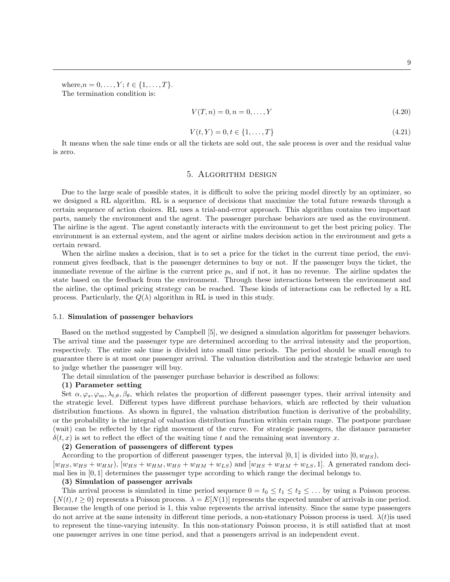where,  $n = 0, \ldots, Y; t \in \{1, \ldots, T\}.$ The termination condition is:

$$
V(T, n) = 0, n = 0, \dots, Y
$$
\n(4.20)

$$
V(t, Y) = 0, t \in \{1, ..., T\}
$$
\n(4.21)

It means when the sale time ends or all the tickets are sold out, the sale process is over and the residual value is zero.

#### 5. Algorithm design

Due to the large scale of possible states, it is difficult to solve the pricing model directly by an optimizer, so we designed a RL algorithm. RL is a sequence of decisions that maximize the total future rewards through a certain sequence of action choices. RL uses a trial-and-error approach. This algorithm contains two important parts, namely the environment and the agent. The passenger purchase behaviors are used as the environment. The airline is the agent. The agent constantly interacts with the environment to get the best pricing policy. The environment is an external system, and the agent or airline makes decision action in the environment and gets a certain reward.

When the airline makes a decision, that is to set a price for the ticket in the current time period, the environment gives feedback, that is the passenger determines to buy or not. If the passenger buys the ticket, the immediate revenue of the airline is the current price  $p_t$ , and if not, it has no revenue. The airline updates the state based on the feedback from the environment. Through these interactions between the environment and the airline, the optimal pricing strategy can be reached. These kinds of interactions can be reflected by a RL process. Particularly, the  $Q(\lambda)$  algorithm in RL is used in this study.

#### 5.1. Simulation of passenger behaviors

Based on the method suggested by Campbell [5], we designed a simulation algorithm for passenger behaviors. The arrival time and the passenger type are determined according to the arrival intensity and the proportion, respectively. The entire sale time is divided into small time periods. The period should be small enough to guarantee there is at most one passenger arrival. The valuation distribution and the strategic behavior are used to judge whether the passenger will buy.

The detail simulation of the passenger purchase behavior is described as follows:

#### (1) Parameter setting

Set  $\alpha, \varphi_s, \varphi_m, \lambda_{t,\theta}, \beta_{\theta}$ , which relates the proportion of different passenger types, their arrival intensity and the strategic level. Different types have different purchase behaviors, which are reflected by their valuation distribution functions. As shown in figure1, the valuation distribution function is derivative of the probability, or the probability is the integral of valuation distribution function within certain range. The postpone purchase (wait) can be reflected by the right movement of the curve. For strategic passengers, the distance parameter  $\delta(t, x)$  is set to reflect the effect of the waiting time t and the remaining seat inventory x.

# (2) Generation of passengers of different types

According to the proportion of different passenger types, the interval [0, 1] is divided into  $(0, w_{HS})$ ,  $[w_{HS}, w_{HS} + w_{HM})$ ,  $[w_{HS} + w_{HM}, w_{HS} + w_{HM} + w_{LS})$  and  $[w_{HS} + w_{HM} + w_{LS}, 1]$ . A generated random deci-

mal lies in [0, 1] determines the passenger type according to which range the decimal belongs to.

#### (3) Simulation of passenger arrivals

This arrival process is simulated in time period sequence  $0 = t_0 \le t_1 \le t_2 \le \dots$  by using a Poisson process.  $\{N(t), t \geq 0\}$  represents a Poisson process.  $\lambda = E[N(1)]$  represents the expected number of arrivals in one period. Because the length of one period is 1, this value represents the arrival intensity. Since the same type passengers do not arrive at the same intensity in different time periods, a non-stationary Poisson process is used.  $\lambda(t)$  is used to represent the time-varying intensity. In this non-stationary Poisson process, it is still satisfied that at most one passenger arrives in one time period, and that a passengers arrival is an independent event.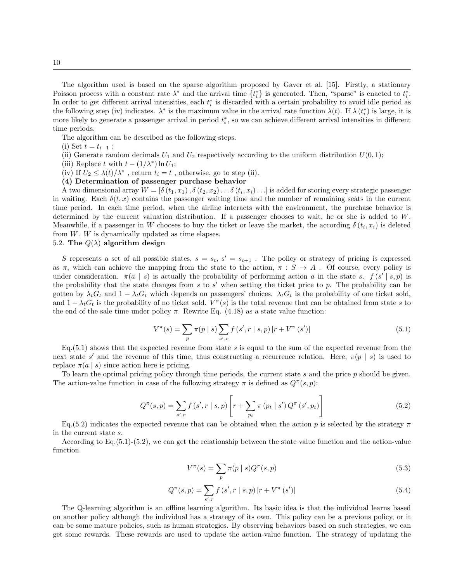The algorithm used is based on the sparse algorithm proposed by Gaver et al. [15]. Firstly, a stationary Poisson process with a constant rate  $\lambda^*$  and the arrival time  $\{t_i^*\}$  is generated. Then, "sparse" is enacted to  $t_i^*$ . In order to get different arrival intensities, each  $t_i^*$  is discarded with a certain probability to avoid idle period as the following step (iv) indicates.  $\lambda^*$  is the maximum value in the arrival rate function  $\lambda(t)$ . If  $\lambda(t_i^*)$  is large, it is more likely to generate a passenger arrival in period  $t_i^*$ , so we can achieve different arrival intensities in different time periods.

The algorithm can be described as the following steps.

(i) Set  $t = t_{i-1}$ ;

- (ii) Generate random decimals  $U_1$  and  $U_2$  respectively according to the uniform distribution  $U(0, 1)$ ;
- (iii) Replace t with  $t (1/\lambda^*) \ln U_1$ ;
- (iv) If  $U_2 \leq \lambda(t)/\lambda^*$ , return  $t_i = t$ , otherwise, go to step (ii).

# (4) Determination of passenger purchase behavior

A two dimensional array  $W = [\delta(t_1, x_1), \delta(t_2, x_2), \dots, \delta(t_i, x_i) \dots]$  is added for storing every strategic passenger in waiting. Each  $\delta(t, x)$  contains the passenger waiting time and the number of remaining seats in the current time period. In each time period, when the airline interacts with the environment, the purchase behavior is determined by the current valuation distribution. If a passenger chooses to wait, he or she is added to W. Meanwhile, if a passenger in W chooses to buy the ticket or leave the market, the according  $\delta(t_i, x_i)$  is deleted from W. W is dynamically updated as time elapses.

# 5.2. The  $Q(\lambda)$  algorithm design

S represents a set of all possible states,  $s = s_t$ ,  $s' = s_{t+1}$ . The policy or strategy of pricing is expressed as  $\pi$ , which can achieve the mapping from the state to the action,  $\pi : S \to A$ . Of course, every policy is under consideration.  $\pi(a \mid s)$  is actually the probability of performing action a in the state s.  $f(s' \mid s, p)$  is the probability that the state changes from  $s$  to  $s'$  when setting the ticket price to  $p$ . The probability can be gotten by  $\lambda_t G_t$  and  $1 - \lambda_t G_t$  which depends on passengers' choices.  $\lambda_t G_t$  is the probability of one ticket sold, and  $1 - \lambda_t G_t$  is the probability of no ticket sold.  $V^{\pi}(s)$  is the total revenue that can be obtained from state s to the end of the sale time under policy  $\pi$ . Rewrite Eq. (4.18) as a state value function:

$$
V^{\pi}(s) = \sum_{p} \pi(p \mid s) \sum_{s',r} f(s',r \mid s,p) \left[ r + V^{\pi}(s') \right]
$$
 (5.1)

 $Eq.(5.1)$  shows that the expected revenue from state s is equal to the sum of the expected revenue from the next state s' and the revenue of this time, thus constructing a recurrence relation. Here,  $\pi(p \mid s)$  is used to replace  $\pi(a \mid s)$  since action here is pricing.

To learn the optimal pricing policy through time periods, the current state s and the price p should be given. The action-value function in case of the following strategy  $\pi$  is defined as  $Q^{\pi}(s, p)$ :

$$
Q^{\pi}(s,p) = \sum_{s',r} f(s',r \mid s,p) \left[ r + \sum_{p_t} \pi(p_t \mid s') Q^{\pi}(s',p_t) \right]
$$
(5.2)

Eq. (5.2) indicates the expected revenue that can be obtained when the action p is selected by the strategy  $\pi$ in the current state s.

According to Eq.(5.1)-(5.2), we can get the relationship between the state value function and the action-value function.

$$
V^{\pi}(s) = \sum_{p} \pi(p \mid s) Q^{\pi}(s, p) \tag{5.3}
$$

$$
Q^{\pi}(s,p) = \sum_{s',r} f(s',r \mid s,p) \left[ r + V^{\pi}(s') \right]
$$
 (5.4)

The Q-learning algorithm is an offline learning algorithm. Its basic idea is that the individual learns based on another policy although the individual has a strategy of its own. This policy can be a previous policy, or it can be some mature policies, such as human strategies. By observing behaviors based on such strategies, we can get some rewards. These rewards are used to update the action-value function. The strategy of updating the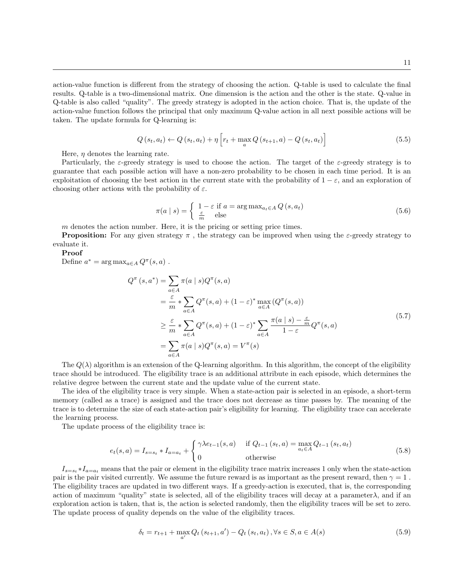action-value function is different from the strategy of choosing the action. Q-table is used to calculate the final results. Q-table is a two-dimensional matrix. One dimension is the action and the other is the state. Q-value in Q-table is also called "quality". The greedy strategy is adopted in the action choice. That is, the update of the action-value function follows the principal that only maximum Q-value action in all next possible actions will be taken. The update formula for Q-learning is:

$$
Q(s_t, a_t) \leftarrow Q(s_t, a_t) + \eta \left[ r_t + \max_{a} Q(s_{t+1}, a) - Q(s_t, a_t) \right]
$$
\n
$$
(5.5)
$$

Here,  $\eta$  denotes the learning rate.

Particularly, the  $\varepsilon$ -greedy strategy is used to choose the action. The target of the  $\varepsilon$ -greedy strategy is to guarantee that each possible action will have a non-zero probability to be chosen in each time period. It is an exploitation of choosing the best action in the current state with the probability of  $1 - \varepsilon$ , and an exploration of choosing other actions with the probability of  $\varepsilon$ .

$$
\pi(a \mid s) = \begin{cases} 1 - \varepsilon \text{ if } a = \arg \max_{a_t \in A} Q(s, a_t) \\ \frac{\varepsilon}{m} \text{ else} \end{cases}
$$
\n(5.6)

m denotes the action number. Here, it is the pricing or setting price times.

**Proposition:** For any given strategy  $\pi$ , the strategy can be improved when using the  $\varepsilon$ -greedy strategy to evaluate it.

### Proof

Define  $a^* = \arg \max_{a \in A} Q^{\pi}(s, a)$ .

$$
Q^{\pi}(s, a^{*}) = \sum_{a \in A} \pi(a \mid s) Q^{\pi}(s, a)
$$
  
\n
$$
= \frac{\varepsilon}{m} * \sum_{a \in A} Q^{\pi}(s, a) + (1 - \varepsilon)^{*} \max_{a \in A} (Q^{\pi}(s, a))
$$
  
\n
$$
\geq \frac{\varepsilon}{m} * \sum_{a \in A} Q^{\pi}(s, a) + (1 - \varepsilon)^{*} \sum_{a \in A} \frac{\pi(a \mid s) - \frac{\varepsilon}{m}}{1 - \varepsilon} Q^{\pi}(s, a)
$$
  
\n
$$
= \sum_{a \in A} \pi(a \mid s) Q^{\pi}(s, a) = V^{\pi}(s)
$$
\n(5.7)

The  $Q(\lambda)$  algorithm is an extension of the Q-learning algorithm. In this algorithm, the concept of the eligibility trace should be introduced. The eligibility trace is an additional attribute in each episode, which determines the relative degree between the current state and the update value of the current state.

The idea of the eligibility trace is very simple. When a state-action pair is selected in an episode, a short-term memory (called as a trace) is assigned and the trace does not decrease as time passes by. The meaning of the trace is to determine the size of each state-action pair's eligibility for learning. The eligibility trace can accelerate the learning process.

The update process of the eligibility trace is:

$$
e_{t}(s,a) = I_{s=s_{t}} * I_{a=a_{t}} + \begin{cases} \gamma \lambda e_{t-1}(s,a) & \text{if } Q_{t-1}(s_{t},a) = \max_{a_{t} \in A} Q_{t-1}(s_{t},a_{t}) \\ 0 & \text{otherwise} \end{cases}
$$
(5.8)

 $I_{s=s_t}*I_{a=a_t}$  means that the pair or element in the eligibility trace matrix increases 1 only when the state-action pair is the pair visited currently. We assume the future reward is as important as the present reward, then  $\gamma = 1$ . The eligibility traces are updated in two different ways. If a greedy-action is executed, that is, the corresponding action of maximum "quality" state is selected, all of the eligibility traces will decay at a parameter  $\lambda$ , and if an exploration action is taken, that is, the action is selected randomly, then the eligibility traces will be set to zero. The update process of quality depends on the value of the eligibility traces.

$$
\delta_{t} = r_{t+1} + \max_{a'} Q_{t} (s_{t+1}, a') - Q_{t} (s_{t}, a_{t}), \forall s \in S, a \in A(s)
$$
\n
$$
(5.9)
$$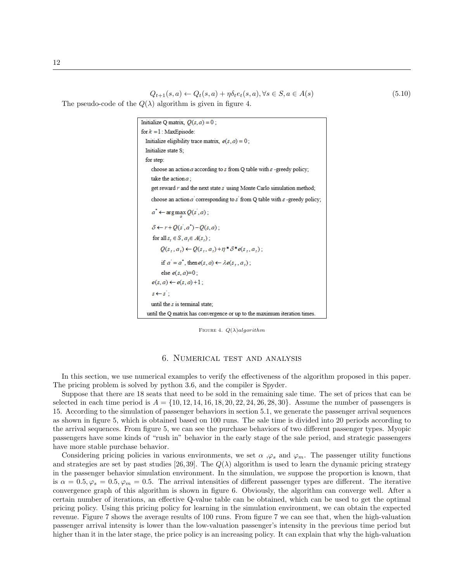$$
Q_{t+1}(s,a) \leftarrow Q_t(s,a) + \eta \delta_t e_t(s,a), \forall s \in S, a \in A(s)
$$
\n
$$
(5.10)
$$

The pseudo-code of the  $Q(\lambda)$  algorithm is given in figure 4.

```
Initialize Q matrix, Q(s, a) = 0;
for k = 1: MaxEpisode:
 Initialize eligibility trace matrix, e(s, a) = 0;
 Initialize state S;
 for step:
     choose an action a according to s from Q table with \varepsilon-greedy policy;
     take the action a :
     get reward r and the next state s using Monte Carlo simulation method;
     choose an action a' corresponding to s' from Q table with s-greedy policy;
     a^* \leftarrow \arg \max Q(s^{\prime}, a);
     \delta \leftarrow r + Q(s', a^*) - Q(s, a);for all s_t \in S, a_t \in A(s_t);
         Q(s_1, a_1) \leftarrow Q(s_1, a_1) + \eta^* \delta^* e(s_1, a_1);if a' = a^*, then e(s, a) \leftarrow \lambda e(s_+, a_+);
          else e(s, a)=0;
     e(s, a) \leftarrow e(s, a) + 1;
     s \leftarrow s':
     until the s is terminal state;
  until the Q matrix has convergence or up to the maximum iteration times.
```
FIGURE 4.  $Q(\lambda)$ algorithm

# 6. Numerical test and analysis

In this section, we use numerical examples to verify the effectiveness of the algorithm proposed in this paper. The pricing problem is solved by python 3.6, and the compiler is Spyder.

Suppose that there are 18 seats that need to be sold in the remaining sale time. The set of prices that can be selected in each time period is  $A = \{10, 12, 14, 16, 18, 20, 22, 24, 26, 28, 30\}$ . Assume the number of passengers is 15. According to the simulation of passenger behaviors in section 5.1, we generate the passenger arrival sequences as shown in figure 5, which is obtained based on 100 runs. The sale time is divided into 20 periods according to the arrival sequences. From figure 5, we can see the purchase behaviors of two different passenger types. Myopic passengers have some kinds of "rush in" behavior in the early stage of the sale period, and strategic passengers have more stable purchase behavior.

Considering pricing policies in various environments, we set  $\alpha$ , $\varphi_s$  and  $\varphi_m$ . The passenger utility functions and strategies are set by past studies [26, 39]. The  $Q(\lambda)$  algorithm is used to learn the dynamic pricing strategy in the passenger behavior simulation environment. In the simulation, we suppose the proportion is known, that is  $\alpha = 0.5, \varphi_s = 0.5, \varphi_m = 0.5$ . The arrival intensities of different passenger types are different. The iterative convergence graph of this algorithm is shown in figure 6. Obviously, the algorithm can converge well. After a certain number of iterations, an effective Q-value table can be obtained, which can be used to get the optimal pricing policy. Using this pricing policy for learning in the simulation environment, we can obtain the expected revenue. Figure 7 shows the average results of 100 runs. From figure 7 we can see that, when the high-valuation passenger arrival intensity is lower than the low-valuation passenger's intensity in the previous time period but higher than it in the later stage, the price policy is an increasing policy. It can explain that why the high-valuation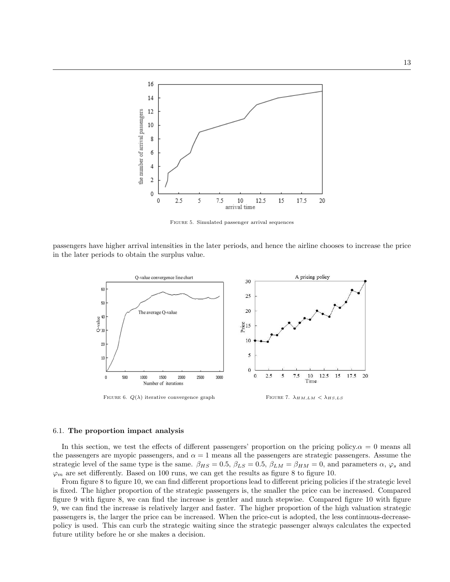

Figure 5. Simulated passenger arrival sequences

passengers have higher arrival intensities in the later periods, and hence the airline chooses to increase the price in the later periods to obtain the surplus value.



#### 6.1. The proportion impact analysis

In this section, we test the effects of different passengers' proportion on the pricing policy. $\alpha = 0$  means all the passengers are myopic passengers, and  $\alpha = 1$  means all the passengers are strategic passengers. Assume the strategic level of the same type is the same.  $\beta_{HS} = 0.5$ ,  $\beta_{LS} = 0.5$ ,  $\beta_{LM} = \beta_{HM} = 0$ , and parameters  $\alpha$ ,  $\varphi_s$  and  $\varphi_m$  are set differently. Based on 100 runs, we can get the results as figure 8 to figure 10.

From figure 8 to figure 10, we can find different proportions lead to different pricing policies if the strategic level is fixed. The higher proportion of the strategic passengers is, the smaller the price can be increased. Compared figure 9 with figure 8, we can find the increase is gentler and much stepwise. Compared figure 10 with figure 9, we can find the increase is relatively larger and faster. The higher proportion of the high valuation strategic passengers is, the larger the price can be increased. When the price-cut is adopted, the less continuous-decreasepolicy is used. This can curb the strategic waiting since the strategic passenger always calculates the expected future utility before he or she makes a decision.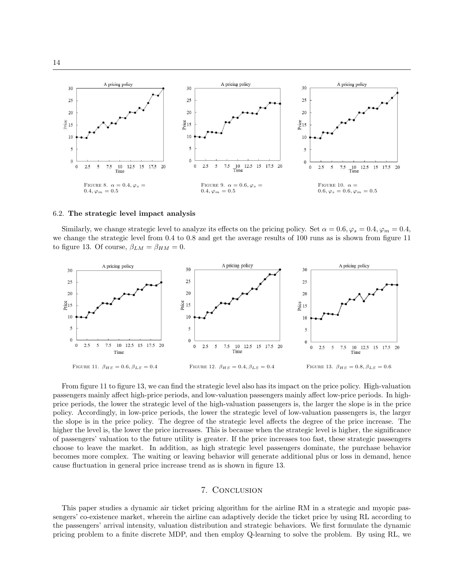

#### 6.2. The strategic level impact analysis

Similarly, we change strategic level to analyze its effects on the pricing policy. Set  $\alpha = 0.6, \varphi_s = 0.4, \varphi_m = 0.4$ , we change the strategic level from 0.4 to 0.8 and get the average results of 100 runs as is shown from figure 11 to figure 13. Of course,  $\beta_{LM} = \beta_{HM} = 0$ .



From figure 11 to figure 13, we can find the strategic level also has its impact on the price policy. High-valuation passengers mainly affect high-price periods, and low-valuation passengers mainly affect low-price periods. In highprice periods, the lower the strategic level of the high-valuation passengers is, the larger the slope is in the price policy. Accordingly, in low-price periods, the lower the strategic level of low-valuation passengers is, the larger the slope is in the price policy. The degree of the strategic level affects the degree of the price increase. The higher the level is, the lower the price increases. This is because when the strategic level is higher, the significance of passengers' valuation to the future utility is greater. If the price increases too fast, these strategic passengers choose to leave the market. In addition, as high strategic level passengers dominate, the purchase behavior becomes more complex. The waiting or leaving behavior will generate additional plus or loss in demand, hence cause fluctuation in general price increase trend as is shown in figure 13.

## 7. Conclusion

This paper studies a dynamic air ticket pricing algorithm for the airline RM in a strategic and myopic passengers' co-existence market, wherein the airline can adaptively decide the ticket price by using RL according to the passengers' arrival intensity, valuation distribution and strategic behaviors. We first formulate the dynamic pricing problem to a finite discrete MDP, and then employ Q-learning to solve the problem. By using RL, we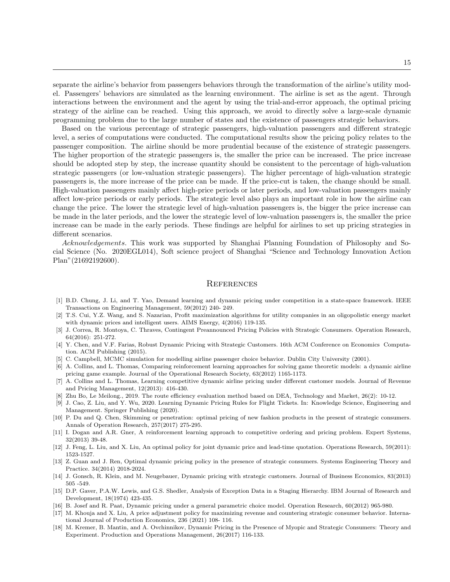separate the airline's behavior from passengers behaviors through the transformation of the airline's utility model. Passengers' behaviors are simulated as the learning environment. The airline is set as the agent. Through interactions between the environment and the agent by using the trial-and-error approach, the optimal pricing strategy of the airline can be reached. Using this approach, we avoid to directly solve a large-scale dynamic programming problem due to the large number of states and the existence of passengers strategic behaviors.

Based on the various percentage of strategic passengers, high-valuation passengers and different strategic level, a series of computations were conducted. The computational results show the pricing policy relates to the passenger composition. The airline should be more prudential because of the existence of strategic passengers. The higher proportion of the strategic passengers is, the smaller the price can be increased. The price increase should be adopted step by step, the increase quantity should be consistent to the percentage of high-valuation strategic passengers (or low-valuation strategic passengers). The higher percentage of high-valuation strategic passengers is, the more increase of the price can be made. If the price-cut is taken, the change should be small. High-valuation passengers mainly affect high-price periods or later periods, and low-valuation passengers mainly affect low-price periods or early periods. The strategic level also plays an important role in how the airline can change the price. The lower the strategic level of high-valuation passengers is, the bigger the price increase can be made in the later periods, and the lower the strategic level of low-valuation passengers is, the smaller the price increase can be made in the early periods. These findings are helpful for airlines to set up pricing strategies in different scenarios.

Acknowledgements. This work was supported by Shanghai Planning Foundation of Philosophy and Social Science (No. 2020EGL014), Soft science project of Shanghai "Science and Technology Innovation Action Plan"(21692192600).

### **REFERENCES**

- [1] B.D. Chung, J. Li, and T. Yao, Demand learning and dynamic pricing under competition in a state-space framework. IEEE Transactions on Engineering Management, 59(2012) 240- 249.
- [2] T.S. Cui, Y.Z. Wang, and S. Nazarian, Profit maximization algorithms for utility companies in an oligopolistic energy market with dynamic prices and intelligent users. AIMS Energy, 4(2016) 119-135.
- [3] J. Correa, R. Montoya, C. Thraves, Contingent Preannounced Pricing Policies with Strategic Consumers. Operation Research, 64(2016): 251-272.
- [4] Y. Chen, and V.F. Farias, Robust Dynamic Pricing with Strategic Customers. 16th ACM Conference on Economics Computation. ACM Publishing (2015).
- [5] C. Campbell, MCMC simulation for modelling airline passenger choice behavior. Dublin City University (2001).
- [6] A. Collins, and L. Thomas, Comparing reinforcement learning approaches for solving game theoretic models: a dynamic airline pricing game example. Journal of the Operational Research Society, 63(2012) 1165-1173.
- [7] A. Collins and L. Thomas, Learning competitive dynamic airline pricing under different customer models. Journal of Revenue and Pricing Management, 12(2013): 416-430.
- [8] Zhu Bo, Le Meilong., 2019. The route efficiency evaluation method based on DEA, Technology and Market, 26(2): 10-12.
- [9] J. Cao, Z. Liu, and Y. Wu, 2020. Learning Dynamic Pricing Rules for Flight Tickets. In: Knowledge Science, Engineering and Management. Springer Publishing (2020).
- [10] P. Du and Q. Chen, Skimming or penetration: optimal pricing of new fashion products in the present of strategic consumers. Annals of Operation Research, 257(2017) 275-295.
- [11] I. Dogan and A.R. Gner, A reinforcement learning approach to competitive ordering and pricing problem. Expert Systems, 32(2013) 39-48.
- [12] J. Feng, L. Liu, and X. Liu, An optimal policy for joint dynamic price and lead-time quotation. Operations Research, 59(2011): 1523-1527.
- [13] Z. Guan and J. Ren, Optimal dynamic pricing policy in the presence of strategic consumers. Systems Engineering Theory and Practice. 34(2014) 2018-2024.
- [14] J. Gonsch, R. Klein, and M. Neugebauer, Dynamic pricing with strategic customers. Journal of Business Economics, 83(2013) 505 -549.
- [15] D.P. Gaver, P.A.W. Lewis, and G.S. Shedler, Analysis of Exception Data in a Staging Hierarchy. IBM Journal of Research and Development, 18(1974) 423-435.
- [16] B. Josef and R. Paat, Dynamic pricing under a general parametric choice model. Operation Research, 60(2012) 965-980.
- [17] M. Khouja and X. Liu, A price adjustment policy for maximizing revenue and countering strategic consumer behavior. International Journal of Production Economics, 236 (2021) 108- 116.
- [18] M. Kremer, B. Mantin, and A. Ovchinnikov, Dynamic Pricing in the Presence of Myopic and Strategic Consumers: Theory and Experiment. Production and Operations Management, 26(2017) 116-133.